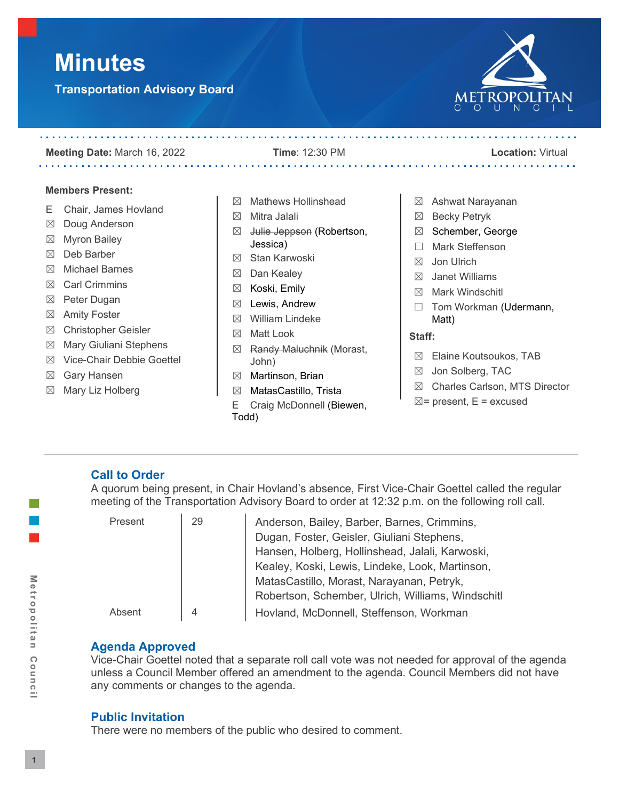# **Minutes**

**Transportation Advisory Board**

 $\sim 100$  km s  $^{-1}$ 



#### **Meeting Date:** March 16, 2022 **Time**: 12:30 PM **Location:** Virtual

. . . . . . . . . . . . .

- **Members Present:**
- E Chair, James Hovland

- ☒ Doug Anderson
- ☒ Myron Bailey
- ☒ Deb Barber
- ☒ Michael Barnes
- ☒ Carl Crimmins
- ☒ Peter Dugan
- ☒ Amity Foster
- ☒ Christopher Geisler
- ☒ Mary Giuliani Stephens
- ☒ Vice-Chair Debbie Goettel
- ☒ Gary Hansen
- ☒ Mary Liz Holberg
- ☒ Mathews Hollinshead
- ☒ Mitra Jalali
- ⊠ Julie Jeppson (Robertson, Jessica)
- ☒ Stan Karwoski
- ☒ Dan Kealey
- ☒ Koski, Emily
- $\boxtimes$  Lewis, Andrew
- ☒ William Lindeke
- ☒ Matt Look
- ☒ Randy Maluchnik (Morast, John)
- ☒ Martinson, Brian
- ☒ MatasCastillo, Trista
- E Craig McDonnell (Biewen, Todd)
- ☒ Ashwat Narayanan
- ☒ Becky Petryk
- ☒ Schember, George
- ☐ Mark Steffenson
- ☒ Jon Ulrich
- $\boxtimes$  Janet Williams
- ☒ Mark Windschitl
- □ Tom Workman (Udermann, Matt)

# **Staff:**

- ☒ Elaine Koutsoukos, TAB
- ☒ Jon Solberg, TAC
- ☒ Charles Carlson, MTS Director
- $\boxtimes$  = present, E = excused

# **Call to Order**

A quorum being present, in Chair Hovland's absence, First Vice-Chair Goettel called the regular meeting of the Transportation Advisory Board to order at 12:32 p.m. on the following roll call.

| Present | 29 | Anderson, Bailey, Barber, Barnes, Crimmins,       |
|---------|----|---------------------------------------------------|
|         |    | Dugan, Foster, Geisler, Giuliani Stephens,        |
|         |    | Hansen, Holberg, Hollinshead, Jalali, Karwoski,   |
|         |    | Kealey, Koski, Lewis, Lindeke, Look, Martinson,   |
|         |    | MatasCastillo, Morast, Narayanan, Petryk,         |
|         |    | Robertson, Schember, Ulrich, Williams, Windschitl |
| Absent  | 4  | Hovland, McDonnell, Steffenson, Workman           |

# **Agenda Approved**

Vice-Chair Goettel noted that a separate roll call vote was not needed for approval of the agenda unless a Council Member offered an amendment to the agenda. Council Members did not have any comments or changes to the agenda.

# **Public Invitation**

There were no members of the public who desired to comment.

Metropolitan

Council

# . . . . . . . . . . . .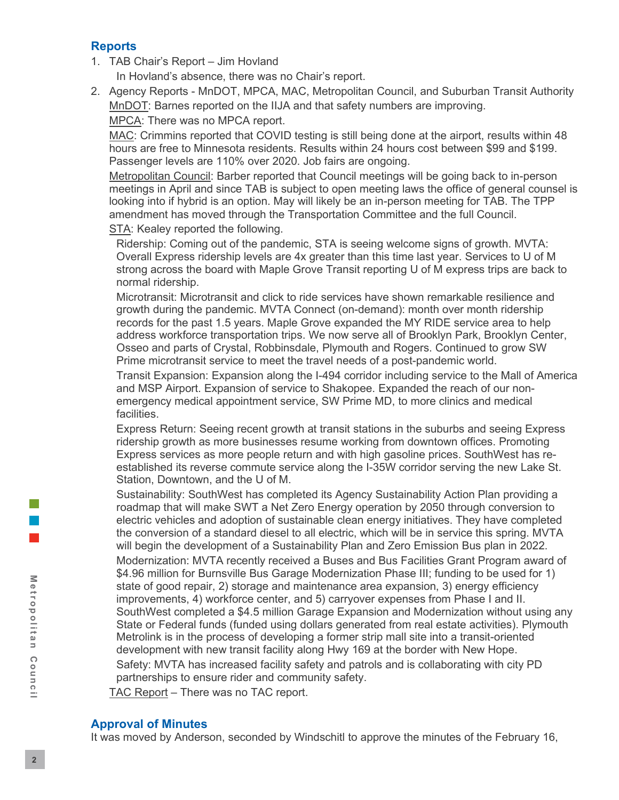# **Reports**

1. TAB Chair's Report – Jim Hovland

In Hovland's absence, there was no Chair's report.

2. Agency Reports - MnDOT, MPCA, MAC, Metropolitan Council, and Suburban Transit Authority MnDOT: Barnes reported on the IIJA and that safety numbers are improving. MPCA: There was no MPCA report.

MAC: Crimmins reported that COVID testing is still being done at the airport, results within 48 hours are free to Minnesota residents. Results within 24 hours cost between \$99 and \$199. Passenger levels are 110% over 2020. Job fairs are ongoing.

Metropolitan Council: Barber reported that Council meetings will be going back to in-person meetings in April and since TAB is subject to open meeting laws the office of general counsel is looking into if hybrid is an option. May will likely be an in-person meeting for TAB. The TPP amendment has moved through the Transportation Committee and the full Council.

STA: Kealey reported the following.

Ridership: Coming out of the pandemic, STA is seeing welcome signs of growth. MVTA: Overall Express ridership levels are 4x greater than this time last year. Services to U of M strong across the board with Maple Grove Transit reporting U of M express trips are back to normal ridership.

Microtransit: Microtransit and click to ride services have shown remarkable resilience and growth during the pandemic. MVTA Connect (on-demand): month over month ridership records for the past 1.5 years. Maple Grove expanded the MY RIDE service area to help address workforce transportation trips. We now serve all of Brooklyn Park, Brooklyn Center, Osseo and parts of Crystal, Robbinsdale, Plymouth and Rogers. Continued to grow SW Prime microtransit service to meet the travel needs of a post-pandemic world.

Transit Expansion: Expansion along the I-494 corridor including service to the Mall of America and MSP Airport. Expansion of service to Shakopee. Expanded the reach of our nonemergency medical appointment service, SW Prime MD, to more clinics and medical facilities.

Express Return: Seeing recent growth at transit stations in the suburbs and seeing Express ridership growth as more businesses resume working from downtown offices. Promoting Express services as more people return and with high gasoline prices. SouthWest has reestablished its reverse commute service along the I-35W corridor serving the new Lake St. Station, Downtown, and the U of M.

Sustainability: SouthWest has completed its Agency Sustainability Action Plan providing a roadmap that will make SWT a Net Zero Energy operation by 2050 through conversion to electric vehicles and adoption of sustainable clean energy initiatives. They have completed the conversion of a standard diesel to all electric, which will be in service this spring. MVTA will begin the development of a Sustainability Plan and Zero Emission Bus plan in 2022. Modernization: MVTA recently received a Buses and Bus Facilities Grant Program award of \$4.96 million for Burnsville Bus Garage Modernization Phase III; funding to be used for 1) state of good repair, 2) storage and maintenance area expansion, 3) energy efficiency improvements, 4) workforce center, and 5) carryover expenses from Phase I and II. SouthWest completed a \$4.5 million Garage Expansion and Modernization without using any State or Federal funds (funded using dollars generated from real estate activities). Plymouth Metrolink is in the process of developing a former strip mall site into a transit-oriented development with new transit facility along Hwy 169 at the border with New Hope. Safety: MVTA has increased facility safety and patrols and is collaborating with city PD partnerships to ensure rider and community safety.

TAC Report – There was no TAC report.

# **Approval of Minutes**

It was moved by Anderson, seconded by Windschitl to approve the minutes of the February 16,

Metropolitan Council